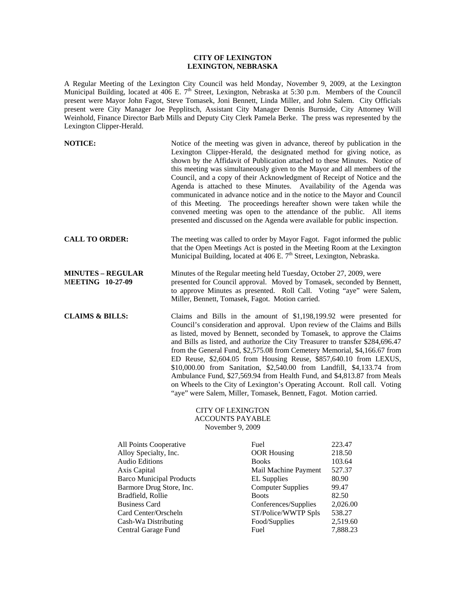## **CITY OF LEXINGTON LEXINGTON, NEBRASKA**

A Regular Meeting of the Lexington City Council was held Monday, November 9, 2009, at the Lexington Municipal Building, located at 406 E. 7<sup>th</sup> Street, Lexington, Nebraska at 5:30 p.m. Members of the Council present were Mayor John Fagot, Steve Tomasek, Joni Bennett, Linda Miller, and John Salem. City Officials present were City Manager Joe Pepplitsch, Assistant City Manager Dennis Burnside, City Attorney Will Weinhold, Finance Director Barb Mills and Deputy City Clerk Pamela Berke. The press was represented by the Lexington Clipper-Herald.

| <b>NOTICE:</b>                                      | Notice of the meeting was given in advance, thereof by publication in the<br>Lexington Clipper-Herald, the designated method for giving notice, as<br>shown by the Affidavit of Publication attached to these Minutes. Notice of<br>this meeting was simultaneously given to the Mayor and all members of the<br>Council, and a copy of their Acknowledgment of Receipt of Notice and the<br>Agenda is attached to these Minutes. Availability of the Agenda was<br>communicated in advance notice and in the notice to the Mayor and Council<br>of this Meeting. The proceedings hereafter shown were taken while the<br>convened meeting was open to the attendance of the public. All items<br>presented and discussed on the Agenda were available for public inspection. |
|-----------------------------------------------------|-------------------------------------------------------------------------------------------------------------------------------------------------------------------------------------------------------------------------------------------------------------------------------------------------------------------------------------------------------------------------------------------------------------------------------------------------------------------------------------------------------------------------------------------------------------------------------------------------------------------------------------------------------------------------------------------------------------------------------------------------------------------------------|
| <b>CALL TO ORDER:</b>                               | The meeting was called to order by Mayor Fagot. Fagot informed the public<br>that the Open Meetings Act is posted in the Meeting Room at the Lexington<br>Municipal Building, located at 406 E. 7 <sup>th</sup> Street, Lexington, Nebraska.                                                                                                                                                                                                                                                                                                                                                                                                                                                                                                                                  |
| <b>MINUTES - REGULAR</b><br><b>MEETING 10-27-09</b> | Minutes of the Regular meeting held Tuesday, October 27, 2009, were<br>presented for Council approval. Moved by Tomasek, seconded by Bennett,<br>to approve Minutes as presented. Roll Call. Voting "aye" were Salem,<br>Miller, Bennett, Tomasek, Fagot. Motion carried.                                                                                                                                                                                                                                                                                                                                                                                                                                                                                                     |
| <b>CLAIMS &amp; BILLS:</b>                          | Claims and Bills in the amount of \$1,198,199.92 were presented for<br>Council's consideration and approval. Upon review of the Claims and Bills<br>as listed, moved by Bennett, seconded by Tomasek, to approve the Claims<br>and Bills as listed, and authorize the City Treasurer to transfer \$284,696.47<br>from the General Fund, \$2,575.08 from Cemetery Memorial, \$4,166.67 from<br>ED Reuse, \$2,604.05 from Housing Reuse, \$857,640.10 from LEXUS,<br>\$10,000.00 from Sanitation, \$2,540.00 from Landfill, \$4,133.74 from<br>Ambulance Fund, \$27,569.94 from Health Fund, and \$4,813.87 from Meals<br>on Wheels to the City of Lexington's Operating Account. Roll call. Voting<br>"aye" were Salem, Miller, Tomasek, Bennett, Fagot. Motion carried.       |

## CITY OF LEXINGTON ACCOUNTS PAYABLE November 9, 2009

| All Points Cooperative          | Fuel                     | 223.47   |
|---------------------------------|--------------------------|----------|
| Alloy Specialty, Inc.           | <b>OOR</b> Housing       | 218.50   |
| Audio Editions                  | <b>Books</b>             | 103.64   |
| Axis Capital                    | Mail Machine Payment     | 527.37   |
| <b>Barco Municipal Products</b> | <b>EL</b> Supplies       | 80.90    |
| Barmore Drug Store, Inc.        | <b>Computer Supplies</b> | 99.47    |
| Bradfield, Rollie               | <b>Boots</b>             | 82.50    |
| <b>Business Card</b>            | Conferences/Supplies     | 2,026.00 |
| Card Center/Orscheln            | ST/Police/WWTP Spls      | 538.27   |
| Cash-Wa Distributing            | Food/Supplies            | 2,519.60 |
| Central Garage Fund             | Fuel                     | 7,888.23 |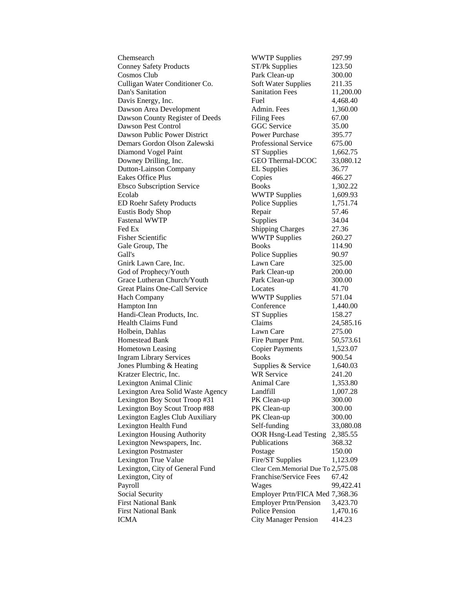Conney Safety Products ST/Pk Supplies 123.50 Cosmos Club Park Clean-up 300.00 Culligan Water Conditioner Co. Soft Water Supplies 211.35 Dan's Sanitation Sanitation Fees 11,200.00 Davis Energy, Inc. Fuel Fuel 4,468.40 Dawson Area Development Admin. Fees 1,360.00 Dawson County Register of Deeds Filing Fees 67.00 Dawson Pest Control GGC Service 35.00 Dawson Public Power District Power Purchase 395.77 Demars Gordon Olson Zalewski Professional Service 675.00 Diamond Vogel Paint ST Supplies 1,662.75 Downey Drilling, Inc. GEO Thermal-DCOC 33,080.12 Dutton-Lainson Company EL Supplies 36.77 Eakes Office Plus Copies 466.27 Ebsco Subscription Service Books 1,302.22 Ecolab WWTP Supplies 1,609.93 ED Roehr Safety Products Police Supplies 1,751.74 Eustis Body Shop Repair 57.46 Fastenal WWTP Supplies 34.04 Fed Ex Shipping Charges 27.36 Fisher Scientific WWTP Supplies 260.27 Gale Group, The Books 114.90 Gall's Police Supplies 90.97 Gnirk Lawn Care, Inc. Lawn Care 525.00 God of Prophecy/Youth Park Clean-up 200.00 Grace Lutheran Church/Youth Park Clean-up 300.00 Great Plains One-Call Service Locates 41.70 Hach Company WWTP Supplies 571.04 Hampton Inn Conference 1,440.00 Handi-Clean Products, Inc. ST Supplies 158.27 Health Claims Fund Claims 24,585.16 Holbein, Dahlas Lawn Care 275.00 Homestead Bank Fire Pumper Pmt. 50,573.61 Hometown Leasing Copier Payments 1,523.07 Ingram Library Services Books 900.54 Jones Plumbing & Heating Supplies & Service 1,640.03 Kratzer Electric, Inc. WR Service 241.20 Lexington Animal Clinic and Animal Care 1,353.80 Lexington Area Solid Waste Agency Landfill 1,007.28 Lexington Boy Scout Troop #31 PK Clean-up 300.00 Lexington Boy Scout Troop #88 PK Clean-up 300.00 Lexington Eagles Club Auxiliary PK Clean-up 300.00 Lexington Health Fund Self-funding 33,080.08 Lexington Housing Authority OOR Hsng-Lead Testing 2,385.55 Lexington Newspapers, Inc. Publications 368.32 Lexington Postmaster **Postage** 150.00 Lexington True Value Fire/ST Supplies 1,123.09 Lexington, City of General Fund Clear Cem.Memorial Due To 2,575.08 Lexington, City of Franchise/Service Fees 67.42 Payroll Wages 99,422.41 Social Security Employer Prtn/FICA Med 7,368.36 First National Bank Employer Prtn/Pension 3,423.70 First National Bank Police Pension 1,470.16 ICMA City Manager Pension 414.23

Chemsearch WWTP Supplies 297.99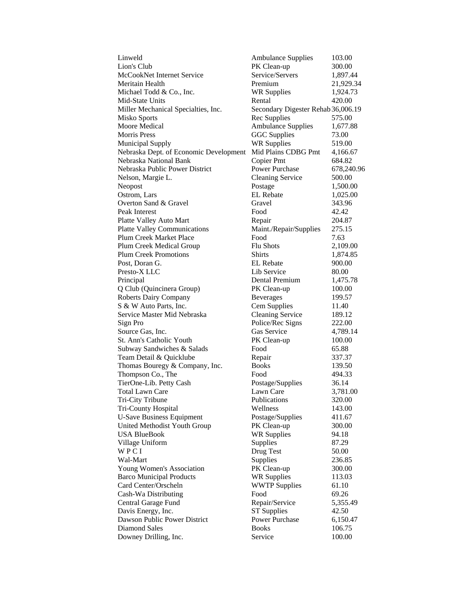| Linweld                                | <b>Ambulance Supplies</b>          | 103.00     |
|----------------------------------------|------------------------------------|------------|
| Lion's Club                            | PK Clean-up                        | 300.00     |
| McCookNet Internet Service             | Service/Servers                    | 1,897.44   |
| Meritain Health                        | Premium                            | 21,929.34  |
| Michael Todd & Co., Inc.               | <b>WR Supplies</b>                 | 1,924.73   |
| Mid-State Units                        | Rental                             | 420.00     |
| Miller Mechanical Specialties, Inc.    | Secondary Digester Rehab 36,006.19 |            |
| <b>Misko Sports</b>                    | Rec Supplies                       | 575.00     |
| <b>Moore Medical</b>                   | <b>Ambulance Supplies</b>          | 1,677.88   |
| <b>Morris Press</b>                    | <b>GGC</b> Supplies                | 73.00      |
| <b>Municipal Supply</b>                | <b>WR Supplies</b>                 | 519.00     |
| Nebraska Dept. of Economic Development | Mid Plains CDBG Pmt                | 4,166.67   |
| Nebraska National Bank                 | Copier Pmt                         | 684.82     |
| Nebraska Public Power District         | <b>Power Purchase</b>              | 678,240.96 |
| Nelson, Margie L.                      | <b>Cleaning Service</b>            | 500.00     |
| Neopost                                | Postage                            | 1,500.00   |
| Ostrom, Lars                           | <b>EL</b> Rebate                   | 1,025.00   |
| Overton Sand & Gravel                  | Gravel                             | 343.96     |
| Peak Interest                          | Food                               | 42.42      |
| Platte Valley Auto Mart                | Repair                             | 204.87     |
| <b>Platte Valley Communications</b>    | Maint./Repair/Supplies             | 275.15     |
| Plum Creek Market Place                | Food                               | 7.63       |
| Plum Creek Medical Group               | <b>Flu Shots</b>                   | 2,109.00   |
| <b>Plum Creek Promotions</b>           | <b>Shirts</b>                      | 1,874.85   |
| Post, Doran G.                         | EL Rebate                          | 900.00     |
| Presto-X LLC                           | Lib Service                        | 80.00      |
| Principal                              | Dental Premium                     | 1,475.78   |
| Q Club (Quincinera Group)              | PK Clean-up                        | 100.00     |
| <b>Roberts Dairy Company</b>           | <b>Beverages</b>                   | 199.57     |
| S & W Auto Parts, Inc.                 | Cem Supplies                       | 11.40      |
| Service Master Mid Nebraska            | <b>Cleaning Service</b>            | 189.12     |
| Sign Pro                               | Police/Rec Signs                   | 222.00     |
| Source Gas, Inc.                       | Gas Service                        | 4,789.14   |
| St. Ann's Catholic Youth               | PK Clean-up                        | 100.00     |
| Subway Sandwiches & Salads             | Food                               | 65.88      |
| Team Detail & Quicklube                | Repair                             | 337.37     |
| Thomas Bouregy & Company, Inc.         | <b>Books</b>                       | 139.50     |
| Thompson Co., The                      | Food                               | 494.33     |
| TierOne-Lib. Petty Cash                | Postage/Supplies                   | 36.14      |
| <b>Total Lawn Care</b>                 | Lawn Care                          | 3,781.00   |
| Tri-City Tribune                       | Publications                       | 320.00     |
| Tri-County Hospital                    | Wellness                           | 143.00     |
| <b>U-Save Business Equipment</b>       | Postage/Supplies                   | 411.67     |
| United Methodist Youth Group           | PK Clean-up                        | 300.00     |
| <b>USA BlueBook</b>                    | <b>WR Supplies</b>                 | 94.18      |
| Village Uniform                        | Supplies                           | 87.29      |
| WPCI                                   | Drug Test                          | 50.00      |
| Wal-Mart                               | Supplies                           | 236.85     |
| Young Women's Association              | PK Clean-up                        | 300.00     |
| <b>Barco Municipal Products</b>        | <b>WR Supplies</b>                 | 113.03     |
| Card Center/Orscheln                   | <b>WWTP Supplies</b>               | 61.10      |
| Cash-Wa Distributing                   | Food                               | 69.26      |
| Central Garage Fund                    | Repair/Service                     | 5,355.49   |
| Davis Energy, Inc.                     | <b>ST Supplies</b>                 | 42.50      |
| Dawson Public Power District           | <b>Power Purchase</b>              | 6,150.47   |
| Diamond Sales                          | <b>Books</b>                       | 106.75     |
| Downey Drilling, Inc.                  | Service                            | 100.00     |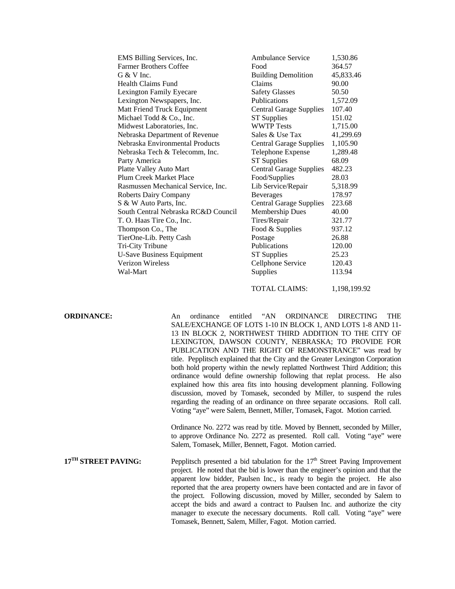| EMS Billing Services, Inc.          | <b>Ambulance Service</b>       | 1,530.86  |
|-------------------------------------|--------------------------------|-----------|
| <b>Farmer Brothers Coffee</b>       | Food                           | 364.57    |
| G & V Inc.                          | <b>Building Demolition</b>     | 45,833.46 |
| Health Claims Fund                  | Claims                         | 90.00     |
| <b>Lexington Family Eyecare</b>     | <b>Safety Glasses</b>          | 50.50     |
| Lexington Newspapers, Inc.          | <b>Publications</b>            | 1,572.09  |
| Matt Friend Truck Equipment         | <b>Central Garage Supplies</b> | 107.40    |
| Michael Todd & Co., Inc.            | <b>ST Supplies</b>             | 151.02    |
| Midwest Laboratories, Inc.          | <b>WWTP Tests</b>              | 1,715.00  |
| Nebraska Department of Revenue      | Sales & Use Tax                | 41,299.69 |
| Nebraska Environmental Products     | <b>Central Garage Supplies</b> | 1,105.90  |
| Nebraska Tech & Telecomm, Inc.      | Telephone Expense              | 1,289.48  |
| Party America                       | <b>ST Supplies</b>             | 68.09     |
| Platte Valley Auto Mart             | <b>Central Garage Supplies</b> | 482.23    |
| Plum Creek Market Place             | Food/Supplies                  | 28.03     |
| Rasmussen Mechanical Service, Inc.  | Lib Service/Repair             | 5,318.99  |
| <b>Roberts Dairy Company</b>        | <b>Beverages</b>               | 178.97    |
| S & W Auto Parts, Inc.              | <b>Central Garage Supplies</b> | 223.68    |
| South Central Nebraska RC&D Council | <b>Membership Dues</b>         | 40.00     |
| T. O. Haas Tire Co., Inc.           | Tires/Repair                   | 321.77    |
| Thompson Co., The                   | Food & Supplies                | 937.12    |
| TierOne-Lib. Petty Cash             | Postage                        | 26.88     |
| Tri-City Tribune                    | Publications                   | 120.00    |
| <b>U-Save Business Equipment</b>    | <b>ST Supplies</b>             | 25.23     |
| Verizon Wireless                    | Cellphone Service              | 120.43    |
| Wal-Mart                            | Supplies                       | 113.94    |
|                                     |                                |           |

TOTAL CLAIMS: 1,198,199.92

**ORDINANCE:** An ordinance entitled "AN ORDINANCE DIRECTING THE SALE/EXCHANGE OF LOTS 1-10 IN BLOCK 1, AND LOTS 1-8 AND 11- 13 IN BLOCK 2, NORTHWEST THIRD ADDITION TO THE CITY OF LEXINGTON, DAWSON COUNTY, NEBRASKA; TO PROVIDE FOR PUBLICATION AND THE RIGHT OF REMONSTRANCE" was read by title. Pepplitsch explained that the City and the Greater Lexington Corporation both hold property within the newly replatted Northwest Third Addition; this ordinance would define ownership following that replat process. He also explained how this area fits into housing development planning. Following discussion, moved by Tomasek, seconded by Miller, to suspend the rules regarding the reading of an ordinance on three separate occasions. Roll call. Voting "aye" were Salem, Bennett, Miller, Tomasek, Fagot. Motion carried.

> Ordinance No. 2272 was read by title. Moved by Bennett, seconded by Miller, to approve Ordinance No. 2272 as presented. Roll call. Voting "aye" were Salem, Tomasek, Miller, Bennett, Fagot. Motion carried.

**17<sup>TH</sup> STREET PAVING:** Pepplitsch presented a bid tabulation for the 17<sup>th</sup> Street Paving Improvement project. He noted that the bid is lower than the engineer's opinion and that the apparent low bidder, Paulsen Inc., is ready to begin the project. He also reported that the area property owners have been contacted and are in favor of the project. Following discussion, moved by Miller, seconded by Salem to accept the bids and award a contract to Paulsen Inc. and authorize the city manager to execute the necessary documents. Roll call. Voting "aye" were Tomasek, Bennett, Salem, Miller, Fagot. Motion carried.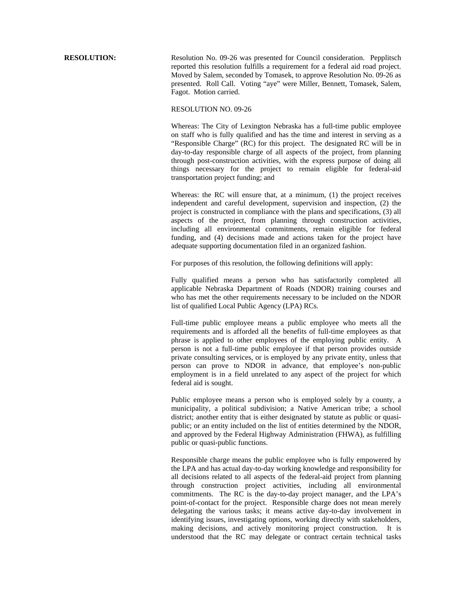**RESOLUTION:** Resolution No. 09-26 was presented for Council consideration. Pepplitsch reported this resolution fulfills a requirement for a federal aid road project. Moved by Salem, seconded by Tomasek, to approve Resolution No. 09-26 as presented. Roll Call. Voting "aye" were Miller, Bennett, Tomasek, Salem, Fagot. Motion carried.

## RESOLUTION NO. 09-26

Whereas: The City of Lexington Nebraska has a full-time public employee on staff who is fully qualified and has the time and interest in serving as a "Responsible Charge" (RC) for this project. The designated RC will be in day-to-day responsible charge of all aspects of the project, from planning through post-construction activities, with the express purpose of doing all things necessary for the project to remain eligible for federal-aid transportation project funding; and

Whereas: the RC will ensure that, at a minimum, (1) the project receives independent and careful development, supervision and inspection, (2) the project is constructed in compliance with the plans and specifications, (3) all aspects of the project, from planning through construction activities, including all environmental commitments, remain eligible for federal funding, and (4) decisions made and actions taken for the project have adequate supporting documentation filed in an organized fashion.

For purposes of this resolution, the following definitions will apply:

Fully qualified means a person who has satisfactorily completed all applicable Nebraska Department of Roads (NDOR) training courses and who has met the other requirements necessary to be included on the NDOR list of qualified Local Public Agency (LPA) RCs.

Full-time public employee means a public employee who meets all the requirements and is afforded all the benefits of full-time employees as that phrase is applied to other employees of the employing public entity. A person is not a full-time public employee if that person provides outside private consulting services, or is employed by any private entity, unless that person can prove to NDOR in advance, that employee's non-public employment is in a field unrelated to any aspect of the project for which federal aid is sought.

Public employee means a person who is employed solely by a county, a municipality, a political subdivision; a Native American tribe; a school district; another entity that is either designated by statute as public or quasipublic; or an entity included on the list of entities determined by the NDOR, and approved by the Federal Highway Administration (FHWA), as fulfilling public or quasi-public functions.

Responsible charge means the public employee who is fully empowered by the LPA and has actual day-to-day working knowledge and responsibility for all decisions related to all aspects of the federal-aid project from planning through construction project activities, including all environmental commitments. The RC is the day-to-day project manager, and the LPA's point-of-contact for the project. Responsible charge does not mean merely delegating the various tasks; it means active day-to-day involvement in identifying issues, investigating options, working directly with stakeholders, making decisions, and actively monitoring project construction. It is understood that the RC may delegate or contract certain technical tasks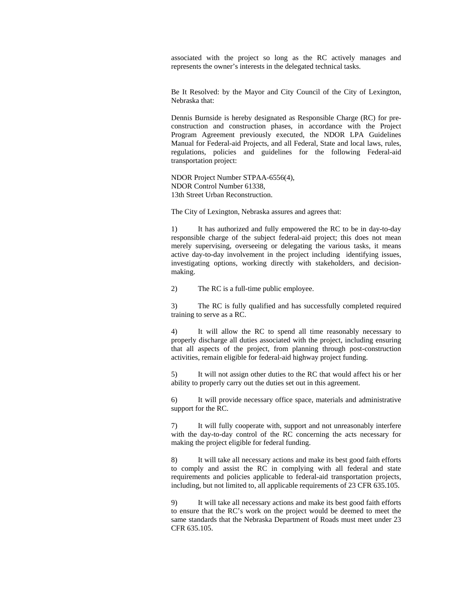associated with the project so long as the RC actively manages and represents the owner's interests in the delegated technical tasks.

Be It Resolved: by the Mayor and City Council of the City of Lexington, Nebraska that:

Dennis Burnside is hereby designated as Responsible Charge (RC) for preconstruction and construction phases, in accordance with the Project Program Agreement previously executed, the NDOR LPA Guidelines Manual for Federal-aid Projects, and all Federal, State and local laws, rules, regulations, policies and guidelines for the following Federal-aid transportation project:

NDOR Project Number STPAA-6556(4), NDOR Control Number 61338, 13th Street Urban Reconstruction.

The City of Lexington, Nebraska assures and agrees that:

1) It has authorized and fully empowered the RC to be in day-to-day responsible charge of the subject federal-aid project; this does not mean merely supervising, overseeing or delegating the various tasks, it means active day-to-day involvement in the project including identifying issues, investigating options, working directly with stakeholders, and decisionmaking.

2) The RC is a full-time public employee.

3) The RC is fully qualified and has successfully completed required training to serve as a RC.

4) It will allow the RC to spend all time reasonably necessary to properly discharge all duties associated with the project, including ensuring that all aspects of the project, from planning through post-construction activities, remain eligible for federal-aid highway project funding.

5) It will not assign other duties to the RC that would affect his or her ability to properly carry out the duties set out in this agreement.

6) It will provide necessary office space, materials and administrative support for the RC.

7) It will fully cooperate with, support and not unreasonably interfere with the day-to-day control of the RC concerning the acts necessary for making the project eligible for federal funding.

8) It will take all necessary actions and make its best good faith efforts to comply and assist the RC in complying with all federal and state requirements and policies applicable to federal-aid transportation projects, including, but not limited to, all applicable requirements of 23 CFR 635.105.

9) It will take all necessary actions and make its best good faith efforts to ensure that the RC's work on the project would be deemed to meet the same standards that the Nebraska Department of Roads must meet under 23 CFR 635.105.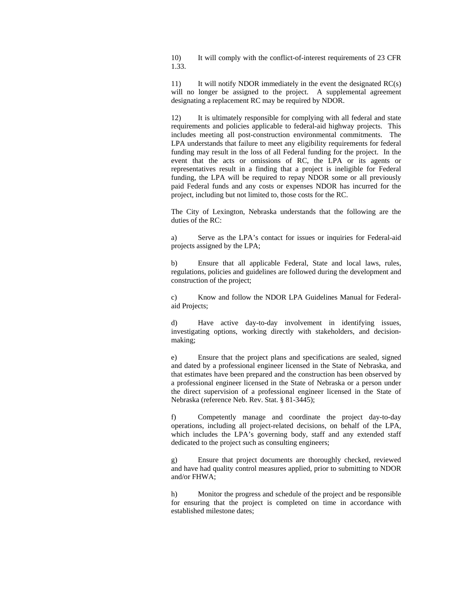10) It will comply with the conflict-of-interest requirements of 23 CFR 1.33.

11) It will notify NDOR immediately in the event the designated  $RC(s)$ will no longer be assigned to the project. A supplemental agreement designating a replacement RC may be required by NDOR.

12) It is ultimately responsible for complying with all federal and state requirements and policies applicable to federal-aid highway projects. This includes meeting all post-construction environmental commitments. The LPA understands that failure to meet any eligibility requirements for federal funding may result in the loss of all Federal funding for the project. In the event that the acts or omissions of RC, the LPA or its agents or representatives result in a finding that a project is ineligible for Federal funding, the LPA will be required to repay NDOR some or all previously paid Federal funds and any costs or expenses NDOR has incurred for the project, including but not limited to, those costs for the RC.

The City of Lexington, Nebraska understands that the following are the duties of the RC:

a) Serve as the LPA's contact for issues or inquiries for Federal-aid projects assigned by the LPA;

b) Ensure that all applicable Federal, State and local laws, rules, regulations, policies and guidelines are followed during the development and construction of the project;

c) Know and follow the NDOR LPA Guidelines Manual for Federalaid Projects;

d) Have active day-to-day involvement in identifying issues, investigating options, working directly with stakeholders, and decisionmaking;

e) Ensure that the project plans and specifications are sealed, signed and dated by a professional engineer licensed in the State of Nebraska, and that estimates have been prepared and the construction has been observed by a professional engineer licensed in the State of Nebraska or a person under the direct supervision of a professional engineer licensed in the State of Nebraska (reference Neb. Rev. Stat. § 81-3445);

f) Competently manage and coordinate the project day-to-day operations, including all project-related decisions, on behalf of the LPA, which includes the LPA's governing body, staff and any extended staff dedicated to the project such as consulting engineers;

g) Ensure that project documents are thoroughly checked, reviewed and have had quality control measures applied, prior to submitting to NDOR and/or FHWA;

h) Monitor the progress and schedule of the project and be responsible for ensuring that the project is completed on time in accordance with established milestone dates;